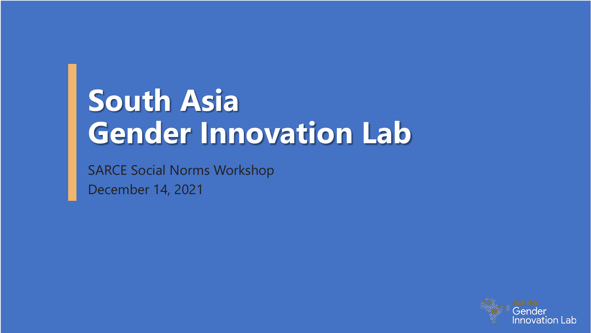# **South Asia Gender Innovation Lab**

SARCE Social Norms Workshop December 14, 2021

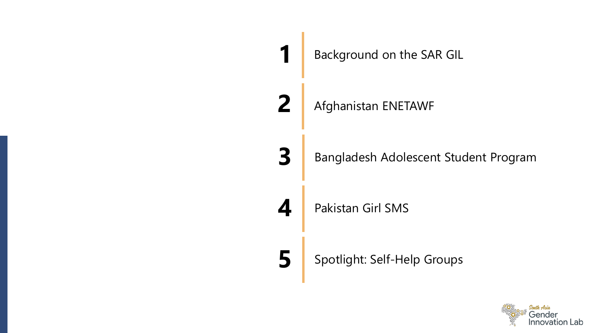

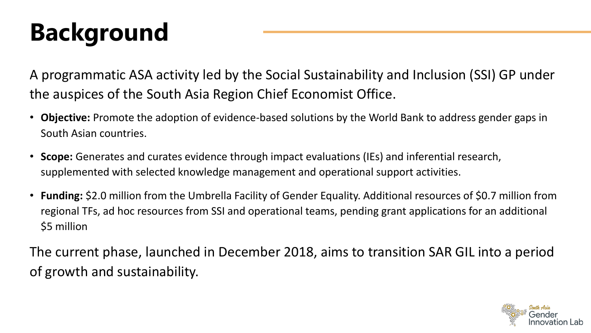# **Background**

A programmatic ASA activity led by the Social Sustainability and Inclusion (SSI) GP under the auspices of the South Asia Region Chief Economist Office.

- **Objective:** Promote the adoption of evidence-based solutions by the World Bank to address gender gaps in South Asian countries.
- **Scope:** Generates and curates evidence through impact evaluations (IEs) and inferential research, supplemented with selected knowledge management and operational support activities.
- **Funding:** \$2.0 million from the Umbrella Facility of Gender Equality. Additional resources of \$0.7 million from regional TFs, ad hoc resources from SSI and operational teams, pending grant applications for an additional \$5 million

The current phase, launched in December 2018, aims to transition SAR GIL into a period of growth and sustainability.

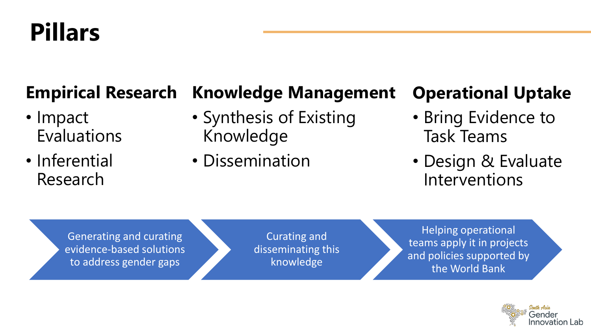## **Pillars**

#### **Empirical Research Knowledge Management**

- Impact Evaluations
- Inferential Research
- Synthesis of Existing Knowledge
- Dissemination

### **Operational Uptake**

- Bring Evidence to Task Teams
- Design & Evaluate Interventions

Generating and curating evidence-based solutions to address gender gaps

Curating and disseminating this knowledge

Helping operational teams apply it in projects and policies supported by the World Bank

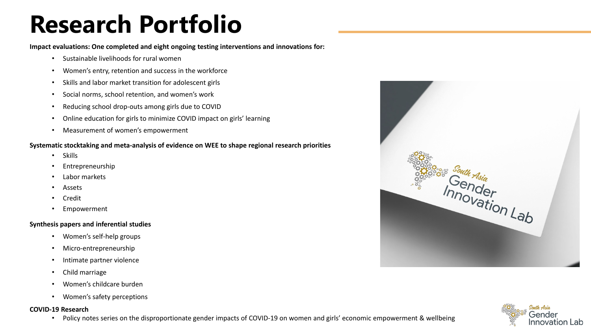## **Research Portfolio**

**Impact evaluations: One completed and eight ongoing testing interventions and innovations for:**

- Sustainable livelihoods for rural women
- Women's entry, retention and success in the workforce
- Skills and labor market transition for adolescent girls
- Social norms, school retention, and women's work
- Reducing school drop-outs among girls due to COVID
- Online education for girls to minimize COVID impact on girls' learning
- Measurement of women's empowerment

#### **Systematic stocktaking and meta-analysis of evidence on WEE to shape regional research priorities**

- Skills
- Entrepreneurship
- Labor markets
- **Assets**
- Credit
- Empowerment

#### **Synthesis papers and inferential studies**

- Women's self-help groups
- Micro-entrepreneurship
- Intimate partner violence
- Child marriage
- Women's childcare burden
- Women's safety perceptions

#### **COVID-19 Research**

• Policy notes series on the disproportionate gender impacts of COVID-19 on women and girls' economic empowerment & wellbeing



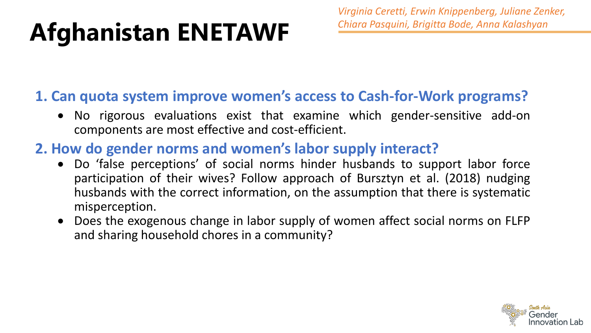# **Afghanistan ENETAWF**

*Virginia Ceretti, Erwin Knippenberg, Juliane Zenker, Chiara Pasquini, Brigitta Bode, Anna Kalashyan*

### **1. Can quota system improve women's access to Cash-for-Work programs?**

- No rigorous evaluations exist that examine which gender-sensitive add-on components are most effective and cost-efficient.
- **2. How do gender norms and women's labor supply interact?**
	- Do 'false perceptions' of social norms hinder husbands to support labor force participation of their wives? Follow approach of Bursztyn et al. (2018) nudging husbands with the correct information, on the assumption that there is systematic misperception.
	- Does the exogenous change in labor supply of women affect social norms on FLFP and sharing household chores in a community?

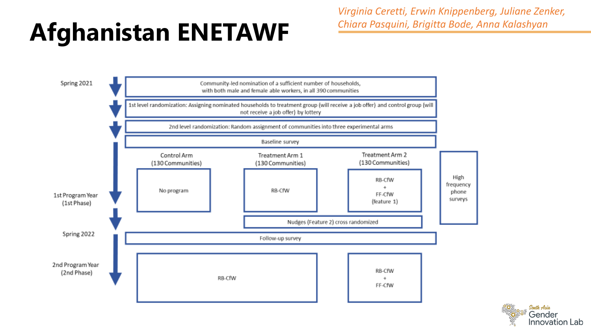# **Afghanistan ENETAWF**

*Virginia Ceretti, Erwin Knippenberg, Juliane Zenker, Chiara Pasquini, Brigitta Bode, Anna Kalashyan*



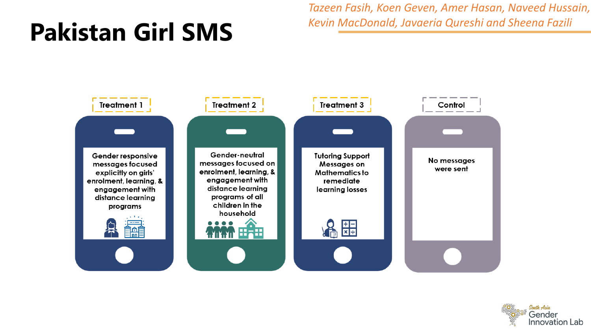## **Pakistan Girl SMS**

*Tazeen Fasih, Koen Geven, Amer Hasan, Naveed Hussain, Kevin MacDonald, Javaeria Qureshi and Sheena Fazili*



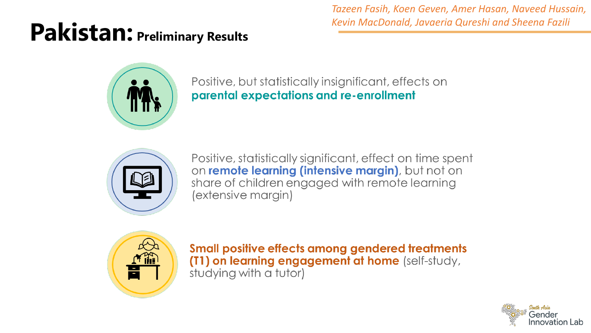### **Pakistan: Preliminary Results**

*Tazeen Fasih, Koen Geven, Amer Hasan, Naveed Hussain, Kevin MacDonald, Javaeria Qureshi and Sheena Fazili*



Positive, but statistically insignificant, effects on parental expectations and re-enrollment



Positive, statistically significant, effect on time spent on remote learning (intensive margin), but not on share of children engaged with remote learning (extensive margin)



**Small positive effects among gendered treatments** (T1) on learning engagement at home (self-study, studying with a tutor)

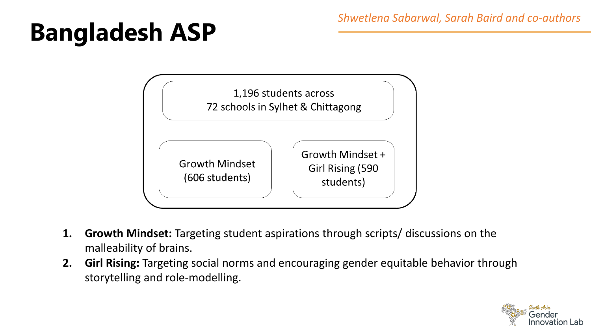# **Bangladesh ASP**



- **1. Growth Mindset:** Targeting student aspirations through scripts/ discussions on the malleability of brains.
- **2. Girl Rising:** Targeting social norms and encouraging gender equitable behavior through storytelling and role-modelling.